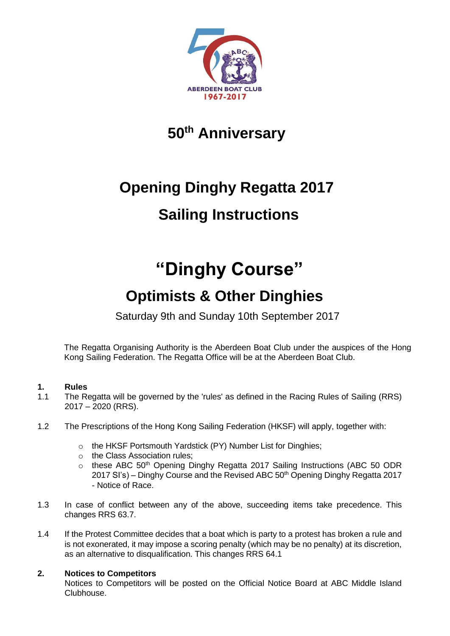

### **50th Anniversary**

# **Opening Dinghy Regatta 2017 Sailing Instructions**

## **"Dinghy Course"**

## **Optimists & Other Dinghies**

Saturday 9th and Sunday 10th September 2017

The Regatta Organising Authority is the Aberdeen Boat Club under the auspices of the Hong Kong Sailing Federation. The Regatta Office will be at the Aberdeen Boat Club.

#### **1. Rules**

- 1.1 The Regatta will be governed by the 'rules' as defined in the Racing Rules of Sailing (RRS) 2017 – 2020 (RRS).
- 1.2 The Prescriptions of the Hong Kong Sailing Federation (HKSF) will apply, together with:
	- o the HKSF Portsmouth Yardstick (PY) Number List for Dinghies;
	- o the Class Association rules;
	- o these ABC 50<sup>th</sup> Opening Dinghy Regatta 2017 Sailing Instructions (ABC 50 ODR  $2017$  SI's) – Dinghy Course and the Revised ABC  $50<sup>th</sup>$  Opening Dinghy Regatta 2017 - Notice of Race.
- 1.3 In case of conflict between any of the above, succeeding items take precedence. This changes RRS 63.7.
- 1.4 If the Protest Committee decides that a boat which is party to a protest has broken a rule and is not exonerated, it may impose a scoring penalty (which may be no penalty) at its discretion, as an alternative to disqualification. This changes RRS 64.1

#### **2. Notices to Competitors**

Notices to Competitors will be posted on the Official Notice Board at ABC Middle Island Clubhouse.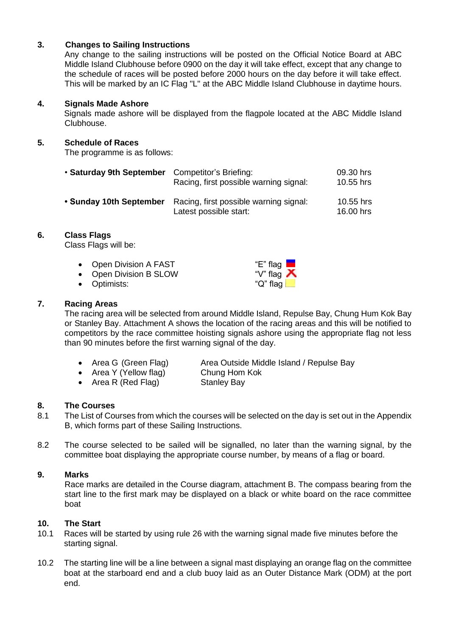#### **3. Changes to Sailing Instructions**

Any change to the sailing instructions will be posted on the Official Notice Board at ABC Middle Island Clubhouse before 0900 on the day it will take effect, except that any change to the schedule of races will be posted before 2000 hours on the day before it will take effect. This will be marked by an IC Flag "L" at the ABC Middle Island Clubhouse in daytime hours.

#### **4. Signals Made Ashore**

Signals made ashore will be displayed from the flagpole located at the ABC Middle Island Clubhouse.

#### **5. Schedule of Races**

The programme is as follows:

| • Saturday 9th September | Competitor's Briefing:<br>Racing, first possible warning signal: | 09.30 hrs<br>10.55 hrs |
|--------------------------|------------------------------------------------------------------|------------------------|
| • Sunday 10th September  | Racing, first possible warning signal:<br>Latest possible start: | 10.55 hrs<br>16,00 hrs |

#### **6. Class Flags**

Class Flags will be:

- Open Division A FAST **"E**" flag
- Open Division B SLOW "V" flag
- Optimists: "Q" flag L

#### **7. Racing Areas**

The racing area will be selected from around Middle Island, Repulse Bay, Chung Hum Kok Bay or Stanley Bay. Attachment A shows the location of the racing areas and this will be notified to competitors by the race committee hoisting signals ashore using the appropriate flag not less than 90 minutes before the first warning signal of the day.

- 
- Area Y (Yellow flag) Chung Hom Kok
- Area G (Green Flag) Area Outside Middle Island / Repulse Bay
	-
- Area R (Red Flag) Stanley Bay

#### **8. The Courses**

- 8.1 The List of Courses from which the courses will be selected on the day is set out in the Appendix B, which forms part of these Sailing Instructions.
- 8.2 The course selected to be sailed will be signalled, no later than the warning signal, by the committee boat displaying the appropriate course number, by means of a flag or board.

#### **9. Marks**

Race marks are detailed in the Course diagram, attachment B. The compass bearing from the start line to the first mark may be displayed on a black or white board on the race committee boat

#### **10. The Start**

- 10.1 Races will be started by using rule 26 with the warning signal made five minutes before the starting signal.
- 10.2 The starting line will be a line between a signal mast displaying an orange flag on the committee boat at the starboard end and a club buoy laid as an Outer Distance Mark (ODM) at the port end.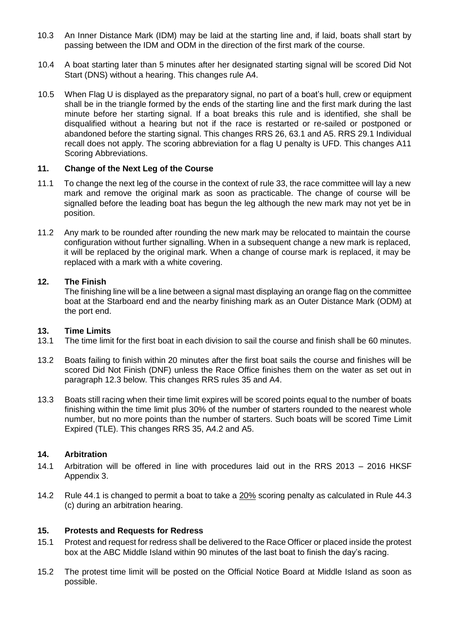- 10.3 An Inner Distance Mark (IDM) may be laid at the starting line and, if laid, boats shall start by passing between the IDM and ODM in the direction of the first mark of the course.
- 10.4 A boat starting later than 5 minutes after her designated starting signal will be scored Did Not Start (DNS) without a hearing. This changes rule A4.
- 10.5 When Flag U is displayed as the preparatory signal, no part of a boat's hull, crew or equipment shall be in the triangle formed by the ends of the starting line and the first mark during the last minute before her starting signal. If a boat breaks this rule and is identified, she shall be disqualified without a hearing but not if the race is restarted or re-sailed or postponed or abandoned before the starting signal. This changes RRS 26, 63.1 and A5. RRS 29.1 Individual recall does not apply. The scoring abbreviation for a flag U penalty is UFD. This changes A11 Scoring Abbreviations.

#### **11. Change of the Next Leg of the Course**

- 11.1 To change the next leg of the course in the context of rule 33, the race committee will lay a new mark and remove the original mark as soon as practicable. The change of course will be signalled before the leading boat has begun the leg although the new mark may not yet be in position.
- 11.2 Any mark to be rounded after rounding the new mark may be relocated to maintain the course configuration without further signalling. When in a subsequent change a new mark is replaced, it will be replaced by the original mark. When a change of course mark is replaced, it may be replaced with a mark with a white covering.

#### **12. The Finish**

The finishing line will be a line between a signal mast displaying an orange flag on the committee boat at the Starboard end and the nearby finishing mark as an Outer Distance Mark (ODM) at the port end.

#### **13. Time Limits**

- 13.1 The time limit for the first boat in each division to sail the course and finish shall be 60 minutes.
- 13.2 Boats failing to finish within 20 minutes after the first boat sails the course and finishes will be scored Did Not Finish (DNF) unless the Race Office finishes them on the water as set out in paragraph 12.3 below. This changes RRS rules 35 and A4.
- 13.3 Boats still racing when their time limit expires will be scored points equal to the number of boats finishing within the time limit plus 30% of the number of starters rounded to the nearest whole number, but no more points than the number of starters. Such boats will be scored Time Limit Expired (TLE). This changes RRS 35, A4.2 and A5.

#### **14. Arbitration**

- 14.1 Arbitration will be offered in line with procedures laid out in the RRS 2013 2016 HKSF Appendix 3.
- 14.2 Rule 44.1 is changed to permit a boat to take a 20% scoring penalty as calculated in Rule 44.3 (c) during an arbitration hearing.

#### **15. Protests and Requests for Redress**

- 15.1 Protest and request for redress shall be delivered to the Race Officer or placed inside the protest box at the ABC Middle Island within 90 minutes of the last boat to finish the day's racing.
- 15.2 The protest time limit will be posted on the Official Notice Board at Middle Island as soon as possible.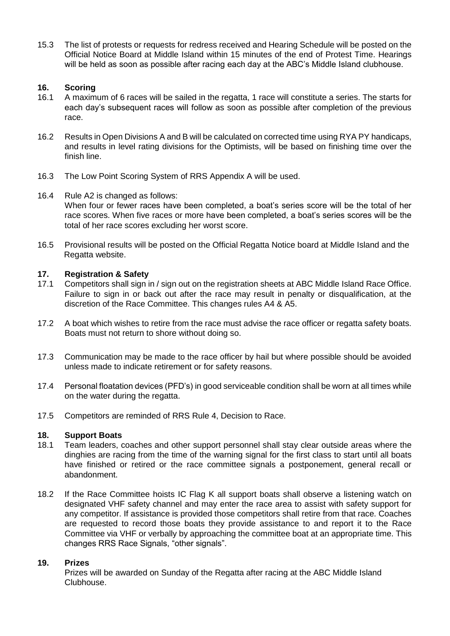15.3 The list of protests or requests for redress received and Hearing Schedule will be posted on the Official Notice Board at Middle Island within 15 minutes of the end of Protest Time. Hearings will be held as soon as possible after racing each day at the ABC's Middle Island clubhouse.

#### **16. Scoring**

- 16.1 A maximum of 6 races will be sailed in the regatta, 1 race will constitute a series. The starts for each day's subsequent races will follow as soon as possible after completion of the previous race.
- 16.2 Results in Open Divisions A and B will be calculated on corrected time using RYA PY handicaps, and results in level rating divisions for the Optimists, will be based on finishing time over the finish line.
- 16.3 The Low Point Scoring System of RRS Appendix A will be used.
- 16.4 Rule A2 is changed as follows: When four or fewer races have been completed, a boat's series score will be the total of her race scores. When five races or more have been completed, a boat's series scores will be the total of her race scores excluding her worst score.
- 16.5 Provisional results will be posted on the Official Regatta Notice board at Middle Island and the Regatta website.

#### **17. Registration & Safety**

- 17.1 Competitors shall sign in / sign out on the registration sheets at ABC Middle Island Race Office. Failure to sign in or back out after the race may result in penalty or disqualification, at the discretion of the Race Committee. This changes rules A4 & A5.
- 17.2 A boat which wishes to retire from the race must advise the race officer or regatta safety boats. Boats must not return to shore without doing so.
- 17.3 Communication may be made to the race officer by hail but where possible should be avoided unless made to indicate retirement or for safety reasons.
- 17.4 Personal floatation devices (PFD's) in good serviceable condition shall be worn at all times while on the water during the regatta.
- 17.5 Competitors are reminded of RRS Rule 4, Decision to Race.

#### **18. Support Boats**

- 18.1 Team leaders, coaches and other support personnel shall stay clear outside areas where the dinghies are racing from the time of the warning signal for the first class to start until all boats have finished or retired or the race committee signals a postponement, general recall or abandonment.
- 18.2 If the Race Committee hoists IC Flag K all support boats shall observe a listening watch on designated VHF safety channel and may enter the race area to assist with safety support for any competitor. If assistance is provided those competitors shall retire from that race. Coaches are requested to record those boats they provide assistance to and report it to the Race Committee via VHF or verbally by approaching the committee boat at an appropriate time. This changes RRS Race Signals, "other signals".

#### **19. Prizes**

Prizes will be awarded on Sunday of the Regatta after racing at the ABC Middle Island Clubhouse.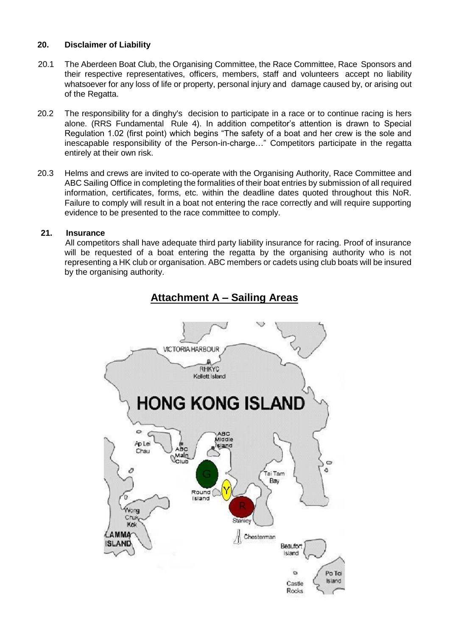#### **20. Disclaimer of Liability**

- 20.1 The Aberdeen Boat Club, the Organising Committee, the Race Committee, Race Sponsors and their respective representatives, officers, members, staff and volunteers accept no liability whatsoever for any loss of life or property, personal injury and damage caused by, or arising out of the Regatta.
- 20.2 The responsibility for a dinghy's decision to participate in a race or to continue racing is hers alone. (RRS Fundamental Rule 4). In addition competitor's attention is drawn to Special Regulation 1.02 (first point) which begins "The safety of a boat and her crew is the sole and inescapable responsibility of the Person-in-charge…" Competitors participate in the regatta entirely at their own risk.
- 20.3 Helms and crews are invited to co-operate with the Organising Authority, Race Committee and ABC Sailing Office in completing the formalities of their boat entries by submission of all required information, certificates, forms, etc. within the deadline dates quoted throughout this NoR. Failure to comply will result in a boat not entering the race correctly and will require supporting evidence to be presented to the race committee to comply.

#### **21. Insurance**

 All competitors shall have adequate third party liability insurance for racing. Proof of insurance will be requested of a boat entering the regatta by the organising authority who is not representing a HK club or organisation. ABC members or cadets using club boats will be insured by the organising authority.



### **Attachment A – Sailing Areas**